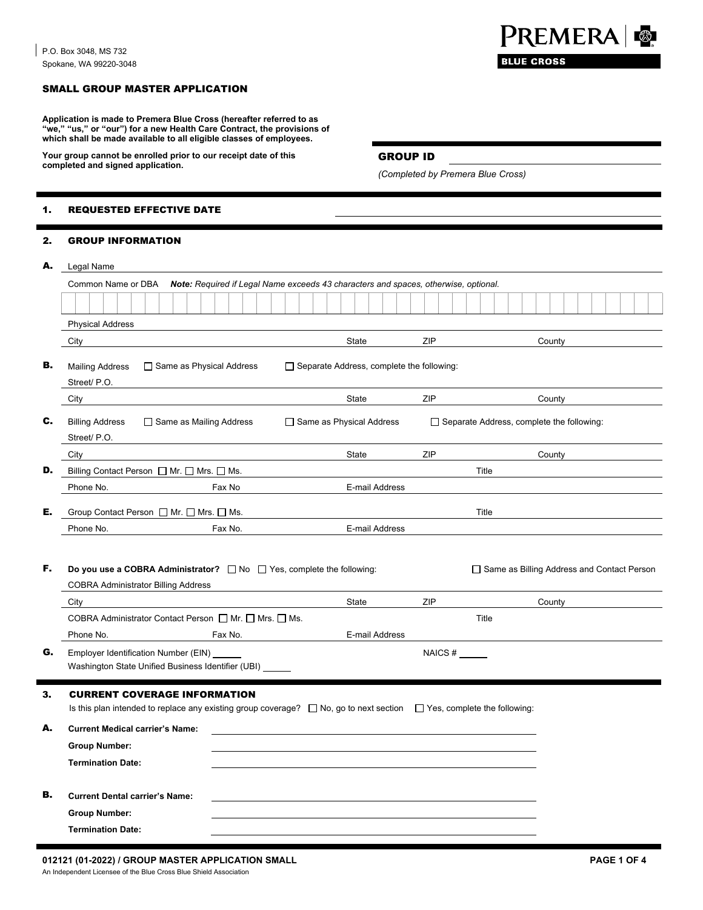# SMALL GROUP MASTER APPLICATION

**Application is made to Premera Blue Cross (hereafter referred to as "we," "us," or "our") for a new Health Care Contract, the provisions of which shall be made available to all eligible classes of employees.** 

Your group cannot be enrolled prior to our receipt date of this **GROUP ID completed and signed application.** 

#### 1. REQUESTED EFFECTIVE DATE

## 2. GROUP INFORMATION

| А. | Legal Name                                                                                                                                                             |         |                                             |     |                                                  |  |  |  |
|----|------------------------------------------------------------------------------------------------------------------------------------------------------------------------|---------|---------------------------------------------|-----|--------------------------------------------------|--|--|--|
|    | Common Name or DBA<br>Note: Required if Legal Name exceeds 43 characters and spaces, otherwise, optional.                                                              |         |                                             |     |                                                  |  |  |  |
|    |                                                                                                                                                                        |         |                                             |     |                                                  |  |  |  |
|    | <b>Physical Address</b>                                                                                                                                                |         |                                             |     |                                                  |  |  |  |
|    | City                                                                                                                                                                   |         | State                                       | ZIP | County                                           |  |  |  |
| в. | □ Same as Physical Address<br><b>Mailing Address</b><br>Street/ P.O.                                                                                                   |         | □ Separate Address, complete the following: |     |                                                  |  |  |  |
|    | City                                                                                                                                                                   |         | State                                       | ZIP | County                                           |  |  |  |
| c. | <b>Billing Address</b><br>$\Box$ Same as Mailing Address<br>Street/ P.O.                                                                                               |         | □ Same as Physical Address                  |     | $\Box$ Separate Address, complete the following: |  |  |  |
|    | City                                                                                                                                                                   |         | State                                       | ZIP | County                                           |  |  |  |
| D. | Billing Contact Person □ Mr. □ Mrs. □ Ms.                                                                                                                              |         |                                             |     | Title                                            |  |  |  |
|    | Phone No.                                                                                                                                                              | Fax No  | E-mail Address                              |     |                                                  |  |  |  |
| E. | Group Contact Person □ Mr. □ Mrs. □ Ms.                                                                                                                                |         |                                             |     | Title                                            |  |  |  |
|    | Phone No.                                                                                                                                                              | Fax No. | E-mail Address                              |     |                                                  |  |  |  |
| F. | Do you use a COBRA Administrator? $\Box$ No $\Box$ Yes, complete the following:<br><b>COBRA Administrator Billing Address</b>                                          |         |                                             |     | □ Same as Billing Address and Contact Person     |  |  |  |
|    | City                                                                                                                                                                   |         | State                                       | ZIP | County                                           |  |  |  |
|    | COBRA Administrator Contact Person □ Mr. □ Mrs. □ Ms.                                                                                                                  |         |                                             |     | Title                                            |  |  |  |
|    | Phone No.                                                                                                                                                              | Fax No. | E-mail Address                              |     |                                                  |  |  |  |
| G. | Employer Identification Number (EIN)<br>Washington State Unified Business Identifier (UBI) ______                                                                      |         |                                             |     |                                                  |  |  |  |
| з. | <b>CURRENT COVERAGE INFORMATION</b><br>Is this plan intended to replace any existing group coverage? $\Box$ No, go to next section $\Box$ Yes, complete the following: |         |                                             |     |                                                  |  |  |  |
| А. | <b>Current Medical carrier's Name:</b>                                                                                                                                 |         |                                             |     |                                                  |  |  |  |
|    | <b>Group Number:</b>                                                                                                                                                   |         |                                             |     |                                                  |  |  |  |
|    | <b>Termination Date:</b>                                                                                                                                               |         |                                             |     |                                                  |  |  |  |
| В. | <b>Current Dental carrier's Name:</b>                                                                                                                                  |         |                                             |     |                                                  |  |  |  |
|    | <b>Group Number:</b>                                                                                                                                                   |         |                                             |     |                                                  |  |  |  |
|    | <b>Termination Date:</b>                                                                                                                                               |         |                                             |     |                                                  |  |  |  |



*(Completed by Premera Blue Cross)*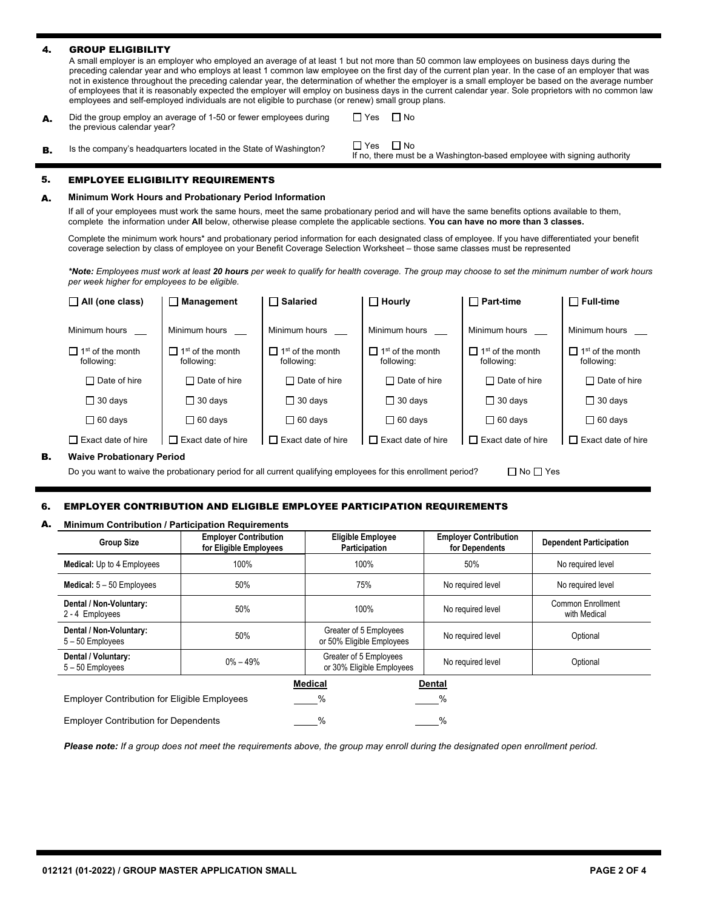#### 4. GROUP ELIGIBILITY

A small employer is an employer who employed an average of at least 1 but not more than 50 common law employees on business days during the preceding calendar year and who employs at least 1 common law employee on the first day of the current plan year. In the case of an employer that was not in existence throughout the preceding calendar year, the determination of whether the employer is a small employer be based on the average number of employees that it is reasonably expected the employer will employ on business days in the current calendar year. Sole proprietors with no common law employees and self-employed individuals are not eligible to purchase (or renew) small group plans.

A. Did the group employ an average of 1-50 or fewer employees during the previous calendar year?

 $\Box$  Yes  $\Box$  No

**B.** Is the company's headquarters located in the State of Washington?  $\Box$  Yes  $\Box$  No,

If no, there must be a Washington-based employee with signing authority

## 5. EMPLOYEE ELIGIBILITY REQUIREMENTS

#### A. **Minimum Work Hours and Probationary Period Information**

 complete the information under **All** below, otherwise please complete the applicable sections. **You can have no more than 3 classes.**  If all of your employees must work the same hours, meet the same probationary period and will have the same benefits options available to them,

Complete the minimum work hours\* and probationary period information for each designated class of employee. If you have differentiated your benefit coverage selection by class of employee on your Benefit Coverage Selection Worksheet – those same classes must be represented

*\*Note: Employees must work at least 20 hours per week to qualify for health coverage. The group may choose to set the minimum number of work hours per week higher for employees to be eligible.* 

|    | $\Box$ All (one class)                            | $\Box$ Management                                 | $\Box$ Salaried                                    | $\Box$ Hourly                              | $\sqcap$ Part-time                                | $\Box$ Full-time                                   |
|----|---------------------------------------------------|---------------------------------------------------|----------------------------------------------------|--------------------------------------------|---------------------------------------------------|----------------------------------------------------|
|    | Minimum hours                                     | Minimum hours                                     | Minimum hours                                      | Minimum hours                              | Minimum hours                                     | Minimum hours                                      |
|    | $\Box$ 1 <sup>st</sup> of the month<br>following: | $\Box$ 1 <sup>st</sup> of the month<br>following: | $\prod$ 1 <sup>st</sup> of the month<br>following: | 1 <sup>st</sup> of the month<br>following: | $\Box$ 1 <sup>st</sup> of the month<br>following: | $\prod$ 1 <sup>st</sup> of the month<br>following: |
|    | $\Box$ Date of hire                               | $\Box$ Date of hire                               | $\Box$ Date of hire                                | $\Box$ Date of hire                        | $\Box$ Date of hire                               | $\Box$ Date of hire                                |
|    | $\Box$ 30 days                                    | $\Box$ 30 days                                    | $\Box$ 30 days                                     | $\Box$ 30 days                             | $\Box$ 30 days                                    | $\Box$ 30 days                                     |
|    | $\Box$ 60 days                                    | $\Box$ 60 days                                    | $\Box$ 60 days                                     | $\Box$ 60 days                             | $\Box$ 60 days                                    | $\Box$ 60 days                                     |
|    | $\Box$ Exact date of hire                         | <b>Exact date of hire</b><br>$\Box$               | $\Box$ Exact date of hire                          | Exact date of hire                         | $\sqcap$ Exact date of hire                       | $\Box$ Exact date of hire                          |
| в. | <b>Waive Probationary Period</b>                  |                                                   |                                                    |                                            |                                                   |                                                    |

□ No □ Yes Do you want to waive the probationary period for all current qualifying employees for this enrollment period?

## 6. EMPLOYER CONTRIBUTION AND ELIGIBLE EMPLOYEE PARTICIPATION REQUIREMENTS

#### A. **Minimum Contribution / Participation Requirements**

| <b>Group Size</b>                                   | <b>Employer Contribution</b><br>for Eligible Employees | <b>Eligible Employee</b><br>Participation           | <b>Employer Contribution</b><br>for Dependents | <b>Dependent Participation</b>    |
|-----------------------------------------------------|--------------------------------------------------------|-----------------------------------------------------|------------------------------------------------|-----------------------------------|
| <b>Medical:</b> Up to 4 Employees                   | 100%                                                   | 100%                                                | 50%                                            | No required level                 |
| Medical: $5 - 50$ Employees                         | 50%                                                    | 75%                                                 | No required level                              | No required level                 |
| Dental / Non-Voluntary:<br>2 - 4 Employees          | 50%                                                    | 100%                                                | No required level                              | Common Enrollment<br>with Medical |
| Dental / Non-Voluntary:<br>5-50 Employees           | 50%                                                    | Greater of 5 Employees<br>or 50% Eligible Employees | No required level                              | Optional                          |
| Dental / Voluntary:<br>5-50 Employees               | $0\% - 49\%$                                           | Greater of 5 Employees<br>or 30% Eligible Employees | No required level                              | Optional                          |
|                                                     |                                                        | <b>Medical</b>                                      | <b>Dental</b>                                  |                                   |
| <b>Employer Contribution for Eligible Employees</b> |                                                        | %                                                   | %                                              |                                   |
| <b>Employer Contribution for Dependents</b>         |                                                        | %                                                   | %                                              |                                   |

*Please note: If a group does not meet the requirements above, the group may enroll during the designated open enrollment period.*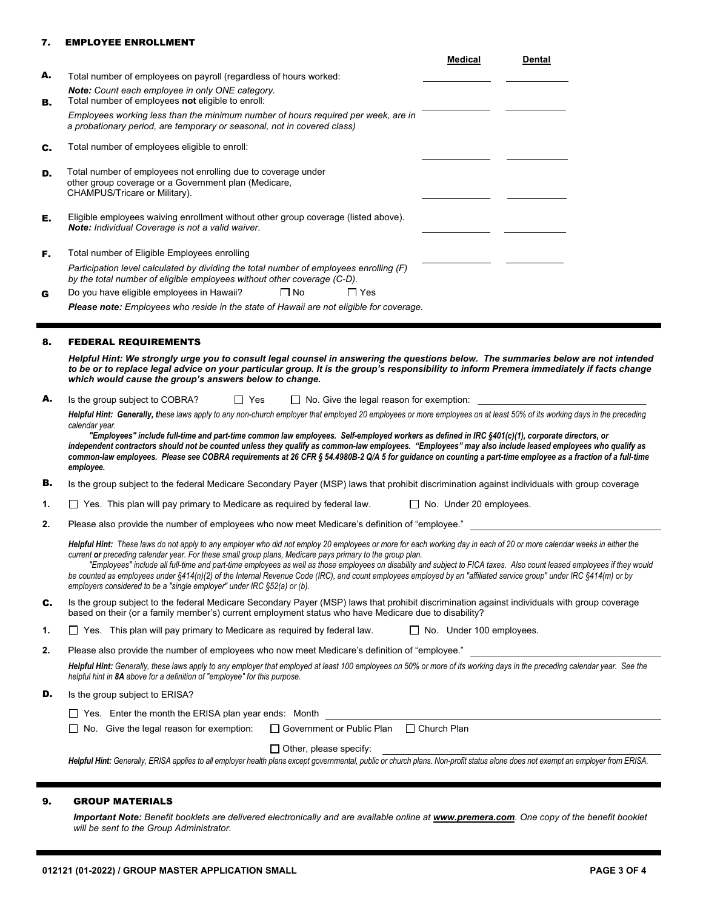## 7. EMPLOYEE ENROLLMENT

|    | <b>Medical</b><br><b>Dental</b>                                                                                                                                                                                                                                                                                                           |
|----|-------------------------------------------------------------------------------------------------------------------------------------------------------------------------------------------------------------------------------------------------------------------------------------------------------------------------------------------|
| А. | Total number of employees on payroll (regardless of hours worked:                                                                                                                                                                                                                                                                         |
| в. | Note: Count each employee in only ONE category.<br>Total number of employees not eligible to enroll:                                                                                                                                                                                                                                      |
|    | Employees working less than the minimum number of hours required per week, are in<br>a probationary period, are temporary or seasonal, not in covered class)                                                                                                                                                                              |
| c. | Total number of employees eligible to enroll:                                                                                                                                                                                                                                                                                             |
| D. | Total number of employees not enrolling due to coverage under<br>other group coverage or a Government plan (Medicare,<br>CHAMPUS/Tricare or Military).                                                                                                                                                                                    |
| Е. | Eligible employees waiving enrollment without other group coverage (listed above).<br>Note: Individual Coverage is not a valid waiver.                                                                                                                                                                                                    |
| F. | Total number of Eligible Employees enrolling                                                                                                                                                                                                                                                                                              |
|    | Participation level calculated by dividing the total number of employees enrolling (F)<br>by the total number of eligible employees without other coverage (C-D).                                                                                                                                                                         |
| G  | $\Box$ No<br>$\Box$ Yes<br>Do you have eligible employees in Hawaii?                                                                                                                                                                                                                                                                      |
|    | <b>Please note:</b> Employees who reside in the state of Hawaii are not eligible for coverage.                                                                                                                                                                                                                                            |
| 8. | <b>FEDERAL REQUIREMENTS</b>                                                                                                                                                                                                                                                                                                               |
|    | Helpful Hint: We strongly urge you to consult legal counsel in answering the questions below. The summaries below are not intended<br>to be or to replace legal advice on your particular group. It is the group's responsibility to inform Premera immediately if facts change<br>which would cause the group's answers below to change. |
| А. | Is the group subject to COBRA?<br>$\Box$ Yes<br>$\Box$ No. Give the legal reason for exemption:                                                                                                                                                                                                                                           |
|    | Helpful Hint: Generally, these laws apply to any non-church employer that employed 20 employees or more employees on at least 50% of its working days in the preceding                                                                                                                                                                    |

*calendar year. "Employees" include full-time and part-time common law employees. Self-employed workers as defined in IRC §401(c)(1), corporate directors, or independent contractors should not be counted unless they qualify as common-law employees. "Employees" may also include leased employees who qualify as common-law employees. Please see COBRA requirements at 26 CFR § 54.4980B-2 Q/A 5 for guidance on counting a part-time employee as a fraction of a full-time employee.* 

- B. Is the group subject to the federal Medicare Secondary Payer (MSP) laws that prohibit discrimination against individuals with group coverage
- 1.  $\Box$  Yes. This plan will pay primary to Medicare as required by federal law.  $\Box$  No. Under 20 employees.
- **2.** Please also provide the number of employees who now meet Medicare's definition of "employee."

Helpful Hint: These laws do not apply to any employer who did not employ 20 employees or more for each working day in each of 20 or more calendar weeks in either the *current or preceding calendar year. For these small group plans, Medicare pays primary to the group plan.*

 *"Employees" include all full-time and part-time employees as well as those employees on disability and subject to FICA taxes. Also count leased employees if they would be counted as employees under §414(n)(2) of the Internal Revenue Code (IRC), and count employees employed by an "affiliated service group" under IRC §414(m) or by employers considered to be a "single employer" under IRC §52(a) or (b).* 

- C. Is the group subject to the federal Medicare Secondary Payer (MSP) laws that prohibit discrimination against individuals with group coverage based on their (or a family member's) current employment status who have Medicare due to disability?
- 1.  $\Box$  Yes. This plan will pay primary to Medicare as required by federal law.  $\Box$  No. Under 100 employees.

**2.** Please also provide the number of employees who now meet Medicare's definition of "employee."

 *helpful hint in 8A above for a definition of "employee" for this purpose. Helpful Hint: Generally, these laws apply to any employer that employed at least 100 employees on 50% or more of its working days in the preceding calendar year. See the* 

**D.** Is the group subject to ERISA?

| $\Box$ Yes. Enter the month the ERISA plan year ends: Month                                         |                               |  |
|-----------------------------------------------------------------------------------------------------|-------------------------------|--|
| $\Box$ No. Give the legal reason for exemption: $\Box$ Government or Public Plan $\Box$ Church Plan |                               |  |
|                                                                                                     | $\Box$ Other, please specify: |  |

*Helpful Hint: Generally, ERISA applies to all employer health plans except governmental, public or church plans. Non-profit status alone does not exempt an employer from ERISA.* 

# 9. GROUP MATERIALS

Important Note: Benefit booklets are delivered electronically and are available online at [www.premera.com](http://www.premera.com). One copy of the benefit booklet *will be sent to the Group Administrator.*